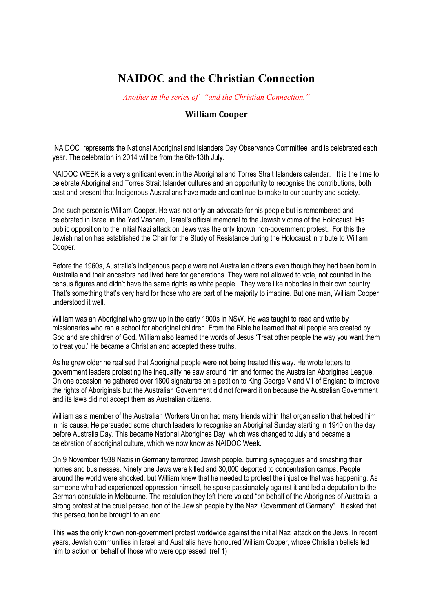## **NAIDOC and the Christian Connection**

*Another in the series of "and the Christian Connection."*

## **William Cooper**

NAIDOC represents the National Aboriginal and Islanders Day Observance Committee and is celebrated each year. The celebration in 2014 will be from the 6th-13th July.

NAIDOC WEEK is a very significant event in the Aboriginal and Torres Strait Islanders calendar. It is the time to celebrate Aboriginal and Torres Strait Islander cultures and an opportunity to recognise the contributions, both past and present that Indigenous Australians have made and continue to make to our country and society.

One such person is William Cooper. He was not only an advocate for his people but is remembered and celebrated in Israel in the Yad Vashem, Israel's official memorial to the Jewish victims of the Holocaust. His public opposition to the initial Nazi attack on Jews was the only known non-government protest. For this the Jewish nation has established the Chair for the Study of Resistance during the Holocaust in tribute to William Cooper.

Before the 1960s, Australia's indigenous people were not Australian citizens even though they had been born in Australia and their ancestors had lived here for generations. They were not allowed to vote, not counted in the census figures and didn't have the same rights as white people. They were like nobodies in their own country. That's something that's very hard for those who are part of the majority to imagine. But one man, William Cooper understood it well.

William was an Aboriginal who grew up in the early 1900s in NSW. He was taught to read and write by missionaries who ran a school for aboriginal children. From the Bible he learned that all people are created by God and are children of God. William also learned the words of Jesus 'Treat other people the way you want them to treat you.' He became a Christian and accepted these truths.

As he grew older he realised that Aboriginal people were not being treated this way. He wrote letters to government leaders protesting the inequality he saw around him and formed the Australian Aborigines League. On one occasion he gathered over 1800 signatures on a petition to King George V and V1 of England to improve the rights of Aboriginals but the Australian Government did not forward it on because the Australian Government and its laws did not accept them as Australian citizens.

William as a member of the Australian Workers Union had many friends within that organisation that helped him in his cause. He persuaded some church leaders to recognise an Aboriginal Sunday starting in 1940 on the day before Australia Day. This became National Aborigines Day, which was changed to July and became a celebration of aboriginal culture, which we now know as NAIDOC Week.

On 9 November 1938 Nazis in Germany terrorized Jewish people, burning synagogues and smashing their homes and businesses. Ninety one Jews were killed and 30,000 deported to concentration camps. People around the world were shocked, but William knew that he needed to protest the injustice that was happening. As someone who had experienced oppression himself, he spoke passionately against it and led a deputation to the German consulate in Melbourne. The resolution they left there voiced "on behalf of the Aborigines of Australia, a strong protest at the cruel persecution of the Jewish people by the Nazi Government of Germany". It asked that this persecution be brought to an end.

This was the only known non-government protest worldwide against the initial Nazi attack on the Jews. In recent years, Jewish communities in Israel and Australia have honoured William Cooper, whose Christian beliefs led him to action on behalf of those who were oppressed. (ref 1)